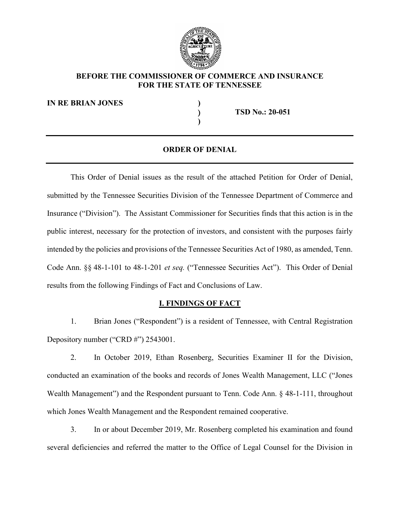

# BEFORE THE COMMISSIONER OF COMMERCE AND INSURANCE<br>FOR THE STATE OF TENNESSEE<br>RIAN JONES<br>() TSD No.: 20-051 FOR THE STATE OF TENNESSEE

IN RE BRIAN JONES (1998)

TSD No.: 20-051

) and the set of  $\overline{a}$ 

# ORDER OF DENIAL

This Order of Denial issues as the result of the attached Petition for Order of Denial, submitted by the Tennessee Securities Division of the Tennessee Department of Commerce and BEFORE THE COMMISSIONER OF COMMERCE AND INSURANCE<br>
FOR THE STATE OF TENNESSEE<br>
IN RE BRIAN JONES<br>
(TED No.: 20-051<br>
(ORDER OF DENIAL<br>
(This Order of Denial issues as the result of the attached Petition for Order of Denial, public interest, necessary for the protection of investors, and consistent with the purposes fairly intended by the policies and provisions of the Tennessee Securities Act of 1980, as amended, Tenn. (The BRIAN JONES<br>
(TED No.: 20-051<br>
(ORDER OF DENIAL<br>
(This Order of Denial issues as the result of the attached Petition for Order of Denial,<br>
submitted by the Tennessee Securities Division of the Tennessee Department of **CORDER OF DENIAL**<br>
This Order of Denial issues as the result of the attached Petition for Orde<br>
submitted by the Tennessee Securities Division of the Tennessee Department of Co<br>
Insurance ("Division"). The Assistant Commi This Order of Denial issues as the result of the attached Petition for Order of Denial,<br>
and by the Tennessee Securities Division of the Tennessee Department of Commerce and<br>
ce ("Division"). The Assistant Commissioner fo This Order of Denial issues as the result of the attached Petition for Order of Denial,<br>submitted by the Tennessee Securities Division of the Tennessee Department of Commerce and<br>Insurance ("Division"). The Assistant Commi orthogy the Tennessee Securities Division of the Tennessee Department of Commerce and<br>
2. C'Division"). The Assistant Commissioner for Securities finds that this action is in the<br>
interest, necessary for the protection of public interest, necessary for the protection of investors, and consistent with the purposes fairly<br>intended by the policies and provisions of the Tennessee Securities Act of 1980, as amended, Tenn.<br>Code Ann. §§ 48-1-101 t

## I. FINDINGS OF FACT

conducted an examination of the books and records of Jones Wealth Management, LLC ("Jones intended by the policies and provisions of the Tennessee Securities Act of 1980, as amended, Tenn.<br>
Code Ann. §§ 48-1-101 to 48-1-201 *et seq.* ("Tennessee Securities Act"). This Order of Denial<br>
results from the following 3. In or about December 2019, Mr. Rosenberg completed his examination and found deficiencies are  $\frac{1. \text{FINDINGS OF FACT}}{1. \text{ElimDINGS OF FACT}}$ <br>1. Brian Jones ("Respondent") is a resident of Tennessee, with Central Registration<br>1. Brian

several deficiencies and referred the matter to the Office of Legal Counsel for the Division in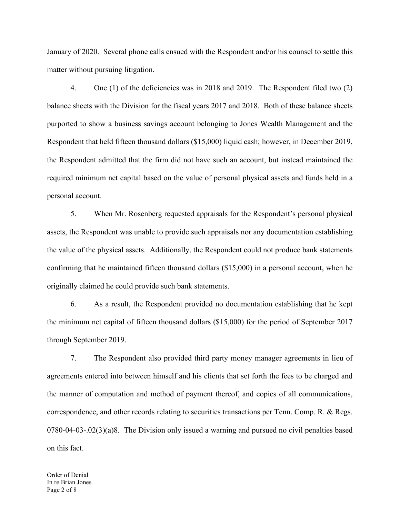January of 2020. Several phone calls ensued with the Respondent and/or his counsel to settle this<br>matter without pursuing litigation.<br>4. One (1) of the deficiencies was in 2018 and 2019. The Respondent filed two (2) matter without pursuing litigation.

4. one (1) of the deficiencies was in 2018 and 2019. The Respondent filed two (2) of the deficiencies was in 2018 and 2019. The Respondent filed two (2) sheets with the Division for the fiscal years 2017 and 2018. Both of balance sheets with the Division for the fiscal years 2017 and 2018. Both of these balance sheets purported to show a business savings account belonging to Jones Wealth Management and the January of 2020. Several phone calls ensued with the Respondent and/or his counsel to settle this matter without pursuing litigation.<br>
4. One (1) of the deficiencies was in 2018 and 2019. The Respondent filed two (2) balan January of 2020. Several phone calls ensued with the Respondent and/or his counsel to settle this matter without pursuing litigation.<br>
4. One (1) of the deficiencies was in 2018 and 2019. The Respondent filed two (2) bala required minimum net capital based on the value of personal physical assets and funds held in a personal account. of 2020. Several phone calls ensued with the Respondent and/or his counsel to settle this<br>without pursuing litigation.<br>4. One (1) of the deficiencies was in 2018 and 2019. The Respondent filed two (2)<br>sheets with the Divis matter without pursuing litigation.<br>
4. One (1) of the deficiencies was in 2018 and 2019. The Respondent filed two (2)<br>
balance sheets with the Division for the fiscal years 2017 and 2018. Both of these balance sheets<br>
pur 4. One (1) of the deficiencies was in 2018 and 2019. The Respondent filed two (2)<br>balance sheets with the Division for the fiscal years 2017 and 2018. Both of these balance sheets<br>purported to show a business savings accou

confirming that he maintained fifteen thousand dollars (\$15,000) in a personal account, when he originally claimed he could provide such bank statements. dent that held fifteen thousand dollars (\$15,000) liquid cash; however, in December 2019, pondent admitted that the firm did not have such an account, but instead maintained the Iminimum net capital based on the value of p 1 account.<br>
5. When Mr. Rosenberg requested appraisals for the Respondent's personal physical<br>
the Respondent was unable to provide such appraisals nor any documentation establishing<br>
the Respondent was unable to provide s 5. When Mr. Rosenberg requested appraisals for the Respondent's personal physical<br>assets, the Respondent was unable to provide such appraisals nor any documentation establishing<br>the value of the physical assets. Additional

the minimum net capital of fifteen thousand dollars (\$15,000) for the period of September 2017 through September 2019.

the minimum net capital of fifteen thousand dollars (\$15,000) for the per<br>through September 2019.<br>7. The Respondent also provided third party money manager<br>agreements entered into between himself and his clients that set f the manner of computation and method of payment thereof, and copies of all communications, the value of the physical assets. Additionally, the Respondent could not produce bank statements<br>confirming that he maintained fifteen thousand dollars (\$15,000) in a personal account, when he<br>originally claimed he could p 0780-04-03-.02(3)(a)8. The Division only issued a warning and pursued no civil penalties based on this fact.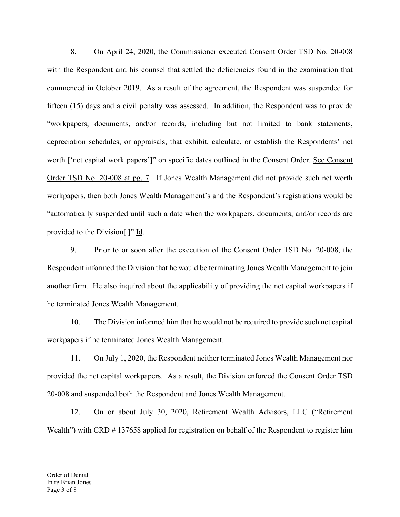8. On April 24, 2020, the Commissioner executed Consent Order TSD No. 20-008<br>e Respondent and his counsel that settled the deficiencies found in the examination that<br>need in October 2019. As a result of the agreement, the 8. On April 24, 2020, the Commissioner executed Consent Order TSD No. 20-008 with the Respondent and his counsel that settled the deficiencies found in the examination that commenced in October 2019. As a result of the agr 8. On April 24, 2020, the Commissioner executed Consent Order TSD No. 20-008<br>with the Respondent and his counsel that settled the deficiencies found in the examination that<br>commenced in October 2019. As a result of the agr fifteen (15) days and a civil penalty was assessed. In addition, the Respondent was to provide "workpapers, documents, and/or records, including but not limited to bank statements, depreciation schedules, or appraisals, that exhibit, calculate, or establish the Respondents' net 8. On April 24, 2020, the Commissioner executed Consent Order TSD No. 20-008<br>with the Respondent and his counsel that settled the deficiencies found in the examination that<br>commenced in October 2019. As a result of the agr 8. On April 24, 2020, the Commissioner executed Consent Order TSD No. 20-008 with the Respondent and his counsel that settled the deficiencies found in the examination that commenced in October 2019. As a result of the agr workpapers, then both Jones Wealth Management's and the Respondent's registrations would be "automatically suspended until such a date when the workpapers, documents, and/or records are provided to the Division[.]" Id. nced in October 2019. As a result of the agreement, the Respondent was suspended for<br>
(15) days and a civil penalty was assessed. In addition, the Respondent was to provide<br>
apers, documents, and/or records, including but "workpapers, documents, and/or records, including but not limited to bank statements,<br>depreciation schedules, or appraisals, that exhibit, calculate, or establish the Respondents' net<br>worth ['net capital work papers']" on <sup>2</sup> thet capital work papers<sup>1</sup>]" on specific dates outlined in the Consent Order. <u>See Consent</u><br>
10. The Division informed Management's and the Respondent's registrations would be<br>
20. The both Jones Wealth Management's a

Respondent informed the Division that he would be terminating Jones Wealth Management to join he terminated Jones Wealth Management. pers, then both Jones Wealth Management's and the Respondent's registrations would be<br>atically suspended until such a date when the workpapers, documents, and/or records are<br>do the Division[.]" <u>Id</u>.<br>Prior to or soon after 9. Prior to or soon after the execution of the Consent Order TSD No. 20-008, the<br>dent informed the Division that he would be terminating Jones Wealth Management to join<br>firm. He also inquired about the applicability of pro Respondent informed the Division that he would be terminating Jones Wealth Management to join<br>another firm. He also inquired about the applicability of providing the net capital workpapers if<br>the terminated Jones Wealth Ma

workpapers if he terminated Jones Wealth Management.

10. The Division informed him that he would not be required to provide<br>provided the terminated Jones Wealth Management.<br>11. On July 1, 2020, the Respondent neither terminated Jones W<br>provided the net capital workpapers. As provided the net capital workpapers. As a result, the Division enforced the Consent Order TSD 20-008 and suspended both the Respondent and Jones Wealth Management.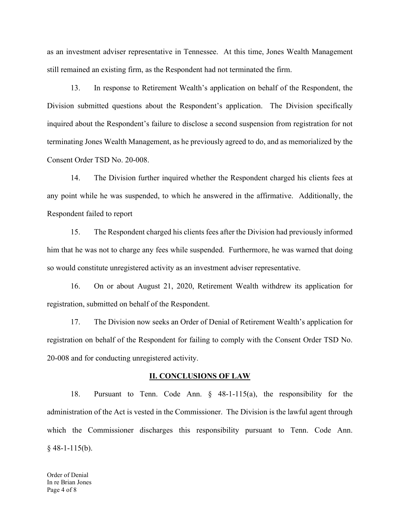as an investment adviser representative in Tennessee. At this time, Jones Wealth Management still remained an existing firm, as the Respondent had not terminated the firm.

Investment adviser representative in Tennessee. At this time, Jones Wealth Management<br>
13. In response to Retirement Wealth's application on behalf of the Respondent, the<br>
13. In response to Retirement Wealth's application Division submitted questions about the Respondent's application. The Division specifically induction about the Respondent is a state Respondent had not terminated the firm.<br>
13. In response to Retirement Wealth's application on behalf of the Respondent, the<br>
Division submitted questions about the Respondent's ap the standard measure of the Respondent had not terminated the firm.<br>
13. In response to Retirement Wealth's application on behalf of the Respondent, the<br>
Division submitted questions about the Respondent's application. The Consent Order TSD No. 20-008. Interaction and a consistent adviser representative in Tennessee. At this time, Jones Wealth Management<br>
14. In response to Retirement Wealth's application on behalf of the Respondent, the<br>
15. In response to Retirement We in a constrainting firm, as the Respondent had not terminated the firm.<br>
13. In response to Retirement Wealth's application on behalf of the Respondent, the<br>
13. In response to Retirement Wealth's application. The Division Division submitted questions about the Respondent's application. The Division specifically<br>inquired about the Respondent's failure to disclose a second suspension from registration for not<br>terminating Jones Wealth Manageme 14. In about the Respondent's failure to disclose a second suspension from registration for not<br>ting Jones Wealth Management, as he previously agreed to do, and as memorialized by the<br>16. Order TSD No. 20-008.<br>14. The Divi

any point while he was suspended, to which he answered in the affirmative. Additionally, the Respondent failed to report terminating Jones Wealth Management, as he previously agreed to do, and as mer<br>
Consent Order TSD No. 20-008.<br>
14. The Division further inquired whether the Respondent charged h<br>
any point while he was suspended, to which 17. The Division further inquired whether the Respondent charged his clients fees at an twhile he was suspended, to which he answered in the affirmative. Additionally, the dent failed to report thanged his clients fees aft 14. The Division further inquired whether the Respondent charged his clients fees at<br>any point while he was suspended, to which he answered in the affirmative. Additionally, the<br>Respondent failed to report<br>15. The Responde

him that he was not to charge any fees while suspended. Furthermore, he was warned that doing tharged his clients fees after the Division had previously informed<br>y fees while suspended. Furthermore, he was warned that doing<br>activity as an investment adviser representative.<br>yust 21, 2020, Retirement Wealth withdrew

20-008 and for conducting unregistered activity.

17. The Division now seeks an Order of Denial of Retirement V<br>registration on behalf of the Respondent for failing to comply with the C<br>20-008 and for conducting unregistered activity.<br>
IL. CONCLUSIONS OF LAW<br>
18. Pursuan 15. The Respondent charged his clients fees after the Division had previously informed<br>
16. The was not to charge any fees while suspended. Furthermore, he was warned that doing<br>
16. On or about August 21, 2020, Retirement in that he was not to charge any fees while suspended. Furthermore, he was warned that doing<br>so would constitute unregistered activity as an investment adviser representative.<br>16. On or about August 21, 2020, Retirement We so would constitute unregistered activity as an investment adviser representative.<br>
16. On or about August 21, 2020, Retirement Wealth withdrew its application for<br>
registration, submitted on behalf of the Respondent.<br>
17. 16. On or about August 21, 2020, Retirement Wealth w<br>registration, submitted on behalf of the Respondent.<br>17. The Division now seeks an Order of Denial of Retirem<br>registration on behalf of the Respondent for failing to com

Order of Denial In re Brian Jones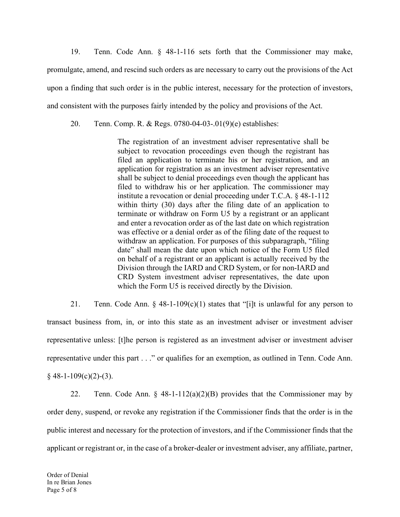19. Tenn. Code Ann. § 48-1-116 sets forth that the Commissioner may make,<br>gate, amend, and rescind such orders as are necessary to carry out the provisions of the Act<br>finding that such order is in the public interest, nece promulgate, amend, and rescind such orders as are necessary to carry out the provisions of the Act upon a finding that such order is in the public interest, necessary for the protection of investors, and consistent with the purposes fairly intended by the policy and provisions of the Act. 20. Tenn. Code Ann. § 48-1-116 sets forth that the Commissioner may represented and rescind such orders as are necessary to carry out the provisions of the finding that such order is in the public interest, necessary for t

The registration of an investment adviser representative shall be subject to revocation proceedings even though the registrant has filed an application to terminate his or her registration, and an application for registration as an investment adviser representative shall be subject to denial proceedings even though the applicant has filed to withdraw his or her application. The commissioner may institute a revocation or denial proceeding under T.C.A. § 48-1-112 within thirty (30) days after the filing date of an application to terminate or withdraw on Form U5 by a registrant or an applicant and enter a revocation order as of the last date on which registration was effective or a denial order as of the filing date of the request to withdraw an application. For purposes of this subparagraph, "filing date" shall mean the date upon which notice of the Form U5 filed on behalf of a registrant or an applicant is actually received by the Division through the IARD and CRD System, or for non-IARD and CRD System investment adviser representatives, the date upon which the Form U5 is received directly by the Division. The registration of an investment adviser representative shall be<br>subject to revocation proceedings even though the registration, and an<br>application to retminate his or her registration, and an<br>application for registratio

transact business from, in, or into this state as an investment adviser or investment adviser representative unless: [t]he person is registered as an investment adviser or investment adviser representative under this part ..." or qualifies for an exemption, as outlined in Tenn. Code Ann.  $\frac{1}{2}$  are  $\frac{1}{2}$  are  $\frac{1}{2}$  are  $\frac{1}{2}$  within thirty (30) days after the filling date of an application to ter Forminate or withdraw on Form U5 by a regist<br>terminate or withdraw on Form U5 by a regist<br>and enter a revocation order as of the last date of was effective or a denial order as of the filing d<br>withdraw an application. For was effective or a denial order as of the filing date of the request to withdraw an application. For purposes of this subpargaph, "filing date" shall mean the date upon which notice of the Form U5 filed on behalf of a reg public interest and necessary for the protection of investors, and if the Commissioner finds that the protection of the protection of containing the dRD and CRD System investment adviser representatives, the date upon whi

transact business from, in, or into this state as an investment adviser<br>representative unless: [t]he person is registered as an investment adviser<br>representative under this part . . ." or qualifies for an exemption, as ou order deny, suspend, or revoke any registration if the Commissioner finds that the order is in the applicant or registrant or, in the case of a broker-dealer or investment adviser, any affiliate, partner,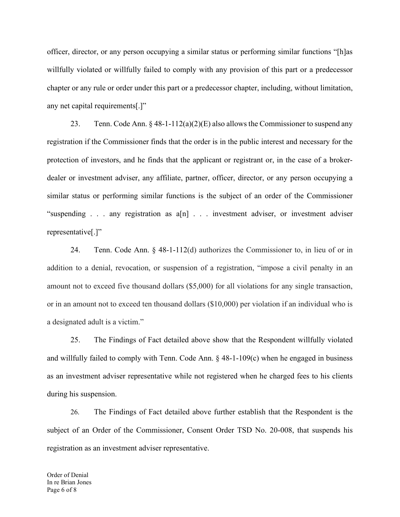officer, director, or any person occupying a similar status or performing similar functions "[h]as willfully violated or willfully failed to comply with any provision of this part or a predecessor chapter or any rule or order under this part or a predecessor chapter, including, without limitation, any net capital requirements[.]" director, or any person occupying a similar status or performing similar functions "[h]as<br>y violated or willfully failed to comply with any provision of this part or a predecessor<br>or any rule or order under this part or a

registration if the Commissioner finds that the order is in the public interest and necessary for the protection of investors, and he finds that the applicant or registrant or, in the case of a brokerdealer or investment adviser, any affiliate, partner, officer, director, or any person occupying a similar status or performing similar functions is the subject of an order of the Commissioner officer, director, or any person occupying a similar status or performing similar functions "[h]as<br>willfully violated or willfully failed to comply with any provision of this part or a predecessor<br>chapter or any rule or o representative[.]" or any rule or order under this part or a predecessor chapter, including, without limitation,<br>capital requirements[.]"<br>23. Tenn. Code Ann. § 48-1-112(a)(2)(E) also allows the Commissioner to suspend any<br>tion if the Commis

addition to a denial, revocation, or suspension of a registration, "impose a civil penalty in an amount not to exceed five thousand dollars (\$5,000) for all violations for any single transaction, or in an amount not to exceed ten thousand dollars (\$10,000) per violation if an individual who is a designated adult is a victim." by investment adviser, any affiliate, partner, officer, director, or any person occupying a<br>status or performing similar functions is the subject of an order of the Commissioner<br>ding ... any registration as  $a[n]$ ... inves and will flully failed to comply with Tenn. Code Ann. § 48-1-109(c) when he changed in business as an investment adviser percectrative[.]"<br>
24. Tenn. Code Ann. § 48-1-112(d) authorizes the Commissioner to, in lieu of or i "suspending . . . any registration as a[n] . . . investment adviser, or investment adviser<br>representative[..]"<br>24. Tenn. Code Ann. § 48-1-112(d) authorizes the Commissioner to, in lieu of or in<br>addition to a denial, revoca

a designated adult is a victim."<br>
25. The Findings of Fact detailed above show that the Resport<br>
and willfully failed to comply with Tenn. Code Ann. § 48-1-109(c) when<br>
as an investment adviser representative while not reg during his suspension.

26. The Findings of Fact detailed above further establish that the Respondent is the subject of an Order of the Commissioner, Consent Order TSD No. 20-008, that suspends his registration as an investment adviser representative.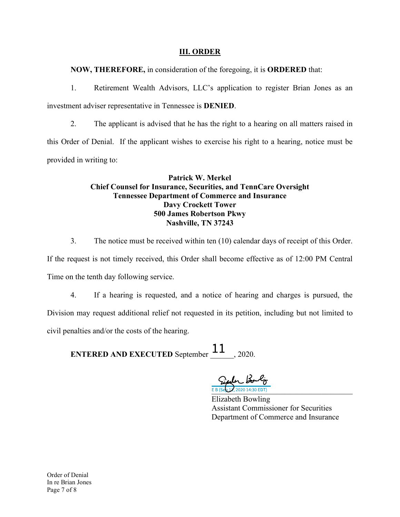NOW, THEREFORE, in consideration of the foregoing, it is ORDERED that:

**III. ORDER**<br>Tration of the foregoing, it is **ORDERED** that:<br>Drs, LLC's application to register Brian Jones as an **111. ORDER**<br>1. Retirement Wealth Advisors, LLC's application to register Brian Jones as an<br>1. Retirement Wealth Advisors, LLC's application to register Brian Jones as an<br>1. The applicant is advised that he has the right t

**investment adviser representative in Tennessee is DENIED.**<br>
2. The applicant is advised that he has the right to a hearing on all matters raised in this Order of Denial. If the applicant wishes to exercise his right to a **THEREFORE, in consideration of the foregoing, it is ORDERED that:**<br>
1. Retirement Wealth Advisors, LLC's application to register Brian Jones as an<br>
investment adviser representative in Tennessee is **DENIED.**<br>
2. The appli provided in writing to: 3. The notice must be received within ten (10) calendar days of receiver and matters are not absolved that he has the right to a hearing on all matters raised in the notice must be din writing to:<br>
2. The applicant is advi

# Patrick W. Merkel Chief Counsel for Insurance, Securities, and TennCare Oversight Tennessee Department of Commerce and Insurance Davy Crockett Tower 500 James Robertson Pkwy Nashville, TN 37243

If the request is not timely received, this Order shall become effective as of 12:00 PM Central Time on the tenth day following service.

civil penalties and/or the costs of the hearing.<br>
ENTERED AND EXECUTED September 11, 2020.<br>  $\frac{\partial \mathbf{L} \mathbf{L}}{\partial \mathbf{S}^2} \frac{\partial \mathbf{L}}{\partial \mathbf{S}^3} \frac{\partial \mathbf{L}}{\partial \mathbf{S}^3} \frac{\partial \mathbf{L}}{\partial \mathbf{S}^3} \frac{\partial \mathbf{L}}{\partial \mathbf{S}^3} \frac{\partial \mathbf{L}}{\partial \mathbf{S$ 4. It a hearing is requested, and a notice of hearing and charges is pursued, and in writing to:<br> **Patrick W. Merkel**<br> **Chief Counsel for Insurance, Securities, and TennCare Oversight<br>
<b>Chief Counsel for Insurance, Securit** Division may request additional relief not requested in its petition, including but not limited to **EXECUTED AND EXECUTED SCHUTER AND EXECUTED AND EXECUTED SPECIES AND EXECUTED AND EXECUTED SPECIES AND EXECUTED SPECIES AND EXECUTED SPECIES AND EXECUTED Spectral costs of the hearing.<br>
EXECUTED Spectral is performed to t** Chief Counsel for Insurance, Securities, and TennCare Oversight<br>
Tennessee Department of Commerce and Insurance<br>
Davy Crockett Tower<br>
500 James Robertston Pkwy<br>
Nashville, TN 37243<br>
3. The notice must be received within t

Assistant Commissioner for Securities Department of Commerce and Insurance